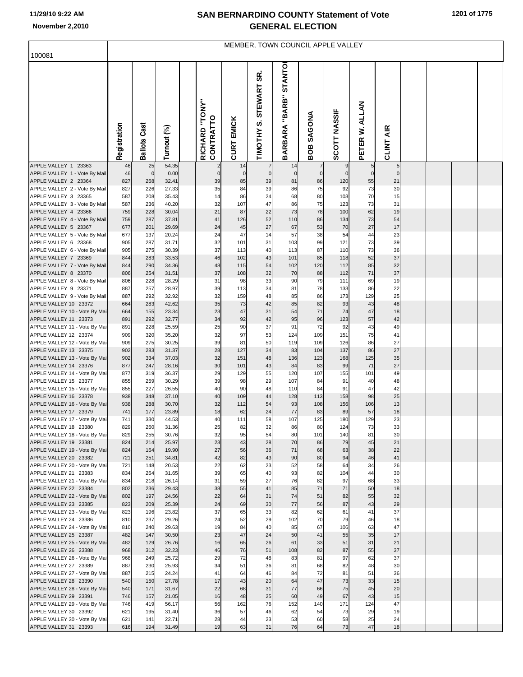## **SAN BERNARDINO COUNTY Statement of Vote November 2,2010 GENERAL ELECTION**

| MEMBER, TOWN COUNCIL APPLE VALLEY<br>100081            |              |                     |                |  |                             |                   |                                       |                                 |                      |                    |                   |                   |  |  |  |  |
|--------------------------------------------------------|--------------|---------------------|----------------|--|-----------------------------|-------------------|---------------------------------------|---------------------------------|----------------------|--------------------|-------------------|-------------------|--|--|--|--|
|                                                        |              |                     |                |  |                             |                   |                                       |                                 |                      |                    |                   |                   |  |  |  |  |
|                                                        | Registration | <b>Ballots Cast</b> | Turnout (%)    |  | RICHARD "TONY"<br>CONTRATTO | <b>CURT EMICK</b> | STEWART SR.<br>TIMOTHY <sub>S</sub> . | "BARB" STANTO<br><b>BARBARA</b> | SAGONA<br><b>BOB</b> | SCOTT NASSIF       | PETER W. ALLAN    | CLINT AIR         |  |  |  |  |
| APPLE VALLEY 1 23363                                   | 46           | 25                  | 54.35          |  |                             | 14                |                                       | 14                              | $\overline{7}$       | $\boldsymbol{9}$   | 5                 | $\sqrt{5}$        |  |  |  |  |
| APPLE VALLEY 1 - Vote By Mail<br>APPLE VALLEY 2 23364  | 46<br>827    | $\mathbf 0$<br>268  | 0.00<br>32.41  |  | $\mathbf 0$<br>39           | $\mathbf 0$<br>85 | $\overline{0}$<br>39                  | $\mathbf 0$<br>81               | $\overline{0}$<br>86 | $\mathbf 0$<br>120 | $\mathbf 0$<br>55 | $\mathbf 0$<br>21 |  |  |  |  |
| APPLE VALLEY 2 - Vote By Mail                          | 827          | 226                 | 27.33          |  | 35                          | 84                | 39                                    | 86                              | 75                   | 92                 | 73                | 30                |  |  |  |  |
| APPLE VALLEY 3 23365                                   | 587          | 208                 | 35.43          |  | 14                          | 86                | 24                                    | 68                              | 80                   | 103                | 70                | 15                |  |  |  |  |
| APPLE VALLEY 3 - Vote By Mail<br>APPLE VALLEY 4 23366  | 587<br>759   | 236<br>228          | 40.20<br>30.04 |  | 32<br>21                    | 107<br>87         | 47<br>22                              | 86<br>73                        | 75<br>78             | 123<br>100         | 73<br>62          | 31<br>19          |  |  |  |  |
| APPLE VALLEY 4 - Vote By Mail                          | 759          | 287                 | 37.81          |  | 41                          | 126               | 52                                    | 110                             | 86                   | 134                | 73                | 54                |  |  |  |  |
| APPLE VALLEY 5 23367                                   | 677          | 201                 | 29.69          |  | 24                          | 45                | 27                                    | 67                              | 53                   | 70                 | 27                | 17                |  |  |  |  |
| APPLE VALLEY 5 - Vote By Mail                          | 677          | 137                 | 20.24          |  | 24                          | 47                | 14                                    | 57                              | 38                   | 54                 | 44                | 23                |  |  |  |  |
| APPLE VALLEY 6 23368                                   | 905          | 287                 | 31.71          |  | 32                          | 101               | 31                                    | 103                             | 99                   | 121                | 73                | 39                |  |  |  |  |
| APPLE VALLEY 6 - Vote By Mail<br>APPLE VALLEY 7 23369  | 905<br>844   | 275<br>283          | 30.39<br>33.53 |  | 37<br>46                    | 113<br>102        | 40<br>43                              | 113<br>101                      | 87<br>85             | 110<br>118         | 73<br>52          | 36<br>37          |  |  |  |  |
| APPLE VALLEY 7 - Vote By Mail                          | 844          | 290                 | 34.36          |  | 48                          | 115               | 54                                    | 102                             | 120                  | 112                | 85                | 32                |  |  |  |  |
| APPLE VALLEY 8 23370                                   | 806          | 254                 | 31.51          |  | 37                          | 108               | 32                                    | 70                              | 88                   | 112                | 71                | 37                |  |  |  |  |
| APPLE VALLEY 8 - Vote By Mail                          | 806          | 228                 | 28.29          |  | 31                          | 98                | 33                                    | 90                              | 79                   | 111                | 69                | 19                |  |  |  |  |
| APPLE VALLEY 9 23371                                   | 887          | 257                 | 28.97          |  | 39                          | 113               | 34                                    | 81                              | 78                   | 133                | 86                | 22                |  |  |  |  |
| APPLE VALLEY 9 - Vote By Mail<br>APPLE VALLEY 10 23372 | 887<br>664   | 292<br>283          | 32.92<br>42.62 |  | 32<br>35                    | 159<br>73         | 48<br>42                              | 85<br>85                        | 86<br>82             | 173<br>93          | 129<br>43         | 25<br>48          |  |  |  |  |
| APPLE VALLEY 10 - Vote By Mai                          | 664          | 155                 | 23.34          |  | 23                          | 47                | 31                                    | 54                              | 71                   | 74                 | 47                | 18                |  |  |  |  |
| APPLE VALLEY 11 23373                                  | 891          | 292                 | 32.77          |  | 34                          | 92                | 42                                    | 95                              | 96                   | 123                | 57                | 42                |  |  |  |  |
| APPLE VALLEY 11 - Vote By Mai                          | 891          | 228                 | 25.59          |  | 25                          | 90                | 37                                    | 91                              | 72                   | 92                 | 43                | 49                |  |  |  |  |
| APPLE VALLEY 12 23374                                  | 909          | 320                 | 35.20          |  | 32                          | 97                | 53                                    | 124                             | 109                  | 151                | 75                | 41                |  |  |  |  |
| APPLE VALLEY 12 - Vote By Mai<br>APPLE VALLEY 13 23375 | 909<br>902   | 275<br>283          | 30.25<br>31.37 |  | 39<br>28                    | 81<br>127         | 50<br>34                              | 119<br>83                       | 109<br>104           | 126<br>137         | 86<br>86          | 27<br>27          |  |  |  |  |
| APPLE VALLEY 13 - Vote By Mai                          | 902          | 334                 | 37.03          |  | 32                          | 151               | 48                                    | 136                             | 123                  | 168                | 125               | 35                |  |  |  |  |
| APPLE VALLEY 14 23376                                  | 877          | 247                 | 28.16          |  | 30                          | 101               | 43                                    | 84                              | 83                   | 99                 | 71                | 27                |  |  |  |  |
| APPLE VALLEY 14 - Vote By Mai                          | 877          | 319                 | 36.37          |  | 29                          | 129               | 55                                    | 120                             | 107                  | 155                | 101               | 49                |  |  |  |  |
| APPLE VALLEY 15 23377<br>APPLE VALLEY 15 - Vote By Mai | 855<br>855   | 259<br>227          | 30.29<br>26.55 |  | 39<br>40                    | 98<br>90          | 29<br>48                              | 107<br>110                      | 84<br>84             | 91<br>91           | 40<br>47          | 48<br>42          |  |  |  |  |
| APPLE VALLEY 16 23378                                  | 938          | 348                 | 37.10          |  | 40                          | 109               | 44                                    | 128                             | 113                  | 158                | 98                | 25                |  |  |  |  |
| APPLE VALLEY 16 - Vote By Mai                          | 938          | 288                 | 30.70          |  | 32                          | 112               | 54                                    | 93                              | 108                  | 156                | 106               | 13                |  |  |  |  |
| APPLE VALLEY 17 23379                                  | 741          | 177                 | 23.89          |  | 18                          | 62                | 24                                    | 77                              | 83                   | 89                 | 57                | 18                |  |  |  |  |
| APPLE VALLEY 17 - Vote By Mai                          | 741          | 330                 | 44.53          |  | 40                          | 111               | 58                                    | 107                             | 125                  | 180                | 129               | 23                |  |  |  |  |
| APPLE VALLEY 18 23380<br>APPLE VALLEY 18 - Vote By Mai | 829<br>829   | 260<br>255          | 31.36<br>30.76 |  | 25<br>32                    | 82<br>95          | 32<br>54                              | 86<br>80                        | 80<br>101            | 124<br>140         | 73<br>81          | 33<br>30          |  |  |  |  |
| APPLE VALLEY 19 23381                                  | 824          | 214                 | 25.97          |  | 23                          | 43                | 28                                    | 70                              | 86                   | 79                 | 45                | 21                |  |  |  |  |
| APPLE VALLEY 19 - Vote By Mai                          | 824          | 164                 | 19.90          |  | 27                          | 56                | 36                                    | 71                              | 68                   | 63                 | 38                | 22                |  |  |  |  |
| APPLE VALLEY 20 23382                                  | 721          | 251                 | 34.81          |  | 42                          | 82                | 43                                    | 90                              | 80                   | 94                 | 46                | 41                |  |  |  |  |
| APPLE VALLEY 20 - Vote By Mai                          | 721          | 148<br>264          | 20.53          |  | 22<br>39                    | 62<br>65          | 23<br>40                              | 52<br>93                        | 58<br>82             | 64<br>104          | 34                | 26<br>30          |  |  |  |  |
| APPLE VALLEY 21 23383<br>APPLE VALLEY 21 - Vote By Mai | 834<br>834   | 218                 | 31.65<br>26.14 |  | 31                          | 59                | 27                                    | 76                              | 82                   | 97                 | 44<br>68          | 33                |  |  |  |  |
| APPLE VALLEY 22 23384                                  | 802          | 236                 | 29.43          |  | 38                          | 55                | 41                                    | 85                              | 71                   | 71                 | 50                | 18                |  |  |  |  |
| APPLE VALLEY 22 - Vote By Mai                          | 802          | 197                 | 24.56          |  | 22                          | 64                | 31                                    | 74                              | 51                   | 82                 | 55                | 32                |  |  |  |  |
| APPLE VALLEY 23 23385                                  | 823          | 209                 | 25.39          |  | 24                          | 69                | 30                                    | 77                              | 56                   | 87                 | 43                | 29                |  |  |  |  |
| APPLE VALLEY 23 - Vote By Mai<br>APPLE VALLEY 24 23386 | 823<br>810   | 196<br>237          | 23.82<br>29.26 |  | 37<br>24                    | 65<br>52          | 33<br>29                              | 82<br>102                       | 62<br>70             | 61<br>79           | 41<br>46          | 37<br>18          |  |  |  |  |
| APPLE VALLEY 24 - Vote By Mai                          | 810          | 240                 | 29.63          |  | 19                          | 84                | 40                                    | 85                              | 67                   | 106                | 63                | 47                |  |  |  |  |
| APPLE VALLEY 25 23387                                  | 482          | 147                 | 30.50          |  | 23                          | 47                | 24                                    | 50                              | 41                   | 55                 | 35                | 17                |  |  |  |  |
| APPLE VALLEY 25 - Vote By Mai                          | 482          | 129                 | 26.76          |  | 16                          | 65                | 26                                    | 61                              | 33                   | 51                 | 31                | 21                |  |  |  |  |
| APPLE VALLEY 26 23388                                  | 968          | 312                 | 32.23          |  | 46                          | 76                | 51                                    | 108                             | 82                   | 87                 | 55                | 37                |  |  |  |  |
| APPLE VALLEY 26 - Vote By Mai<br>APPLE VALLEY 27 23389 | 968<br>887   | 249<br>230          | 25.72<br>25.93 |  | 29<br>34                    | 72<br>51          | 48<br>36                              | 83<br>81                        | 81<br>68             | 97<br>82           | 62<br>48          | 37<br>30          |  |  |  |  |
| APPLE VALLEY 27 - Vote By Mai                          | 887          | 215                 | 24.24          |  | 41                          | 64                | 46                                    | 84                              | 72                   | 81                 | 51                | 36                |  |  |  |  |
| APPLE VALLEY 28 23390                                  | 540          | 150                 | 27.78          |  | 17                          | 43                | 20                                    | 64                              | 47                   | 73                 | 33                | 15                |  |  |  |  |
| APPLE VALLEY 28 - Vote By Mai                          | 540          | 171                 | 31.67          |  | 22                          | 68                | 31                                    | 77                              | 66                   | 75                 | 45                | 20                |  |  |  |  |
| APPLE VALLEY 29 23391                                  | 746          | 157                 | 21.05          |  | 16                          | 48                | 25                                    | 60                              | 49                   | 67                 | 43                | 15                |  |  |  |  |
| APPLE VALLEY 29 - Vote By Mai<br>APPLE VALLEY 30 23392 | 746<br>621   | 419<br>195          | 56.17<br>31.40 |  | 56<br>36                    | 162<br>57         | 76<br>46                              | 152<br>62                       | 140<br>54            | 171<br>73          | 124<br>29         | 47<br>19          |  |  |  |  |
| APPLE VALLEY 30 - Vote By Mai                          | 621          | 141                 | 22.71          |  | 28                          | 44                | 23                                    | 53                              | 60                   | 58                 | 25                | 24                |  |  |  |  |
| APPLE VALLEY 31 23393                                  | 616          | 194                 | 31.49          |  | 19                          | 63                | 31                                    | 76                              | 64                   | 73                 | 47                | 18                |  |  |  |  |